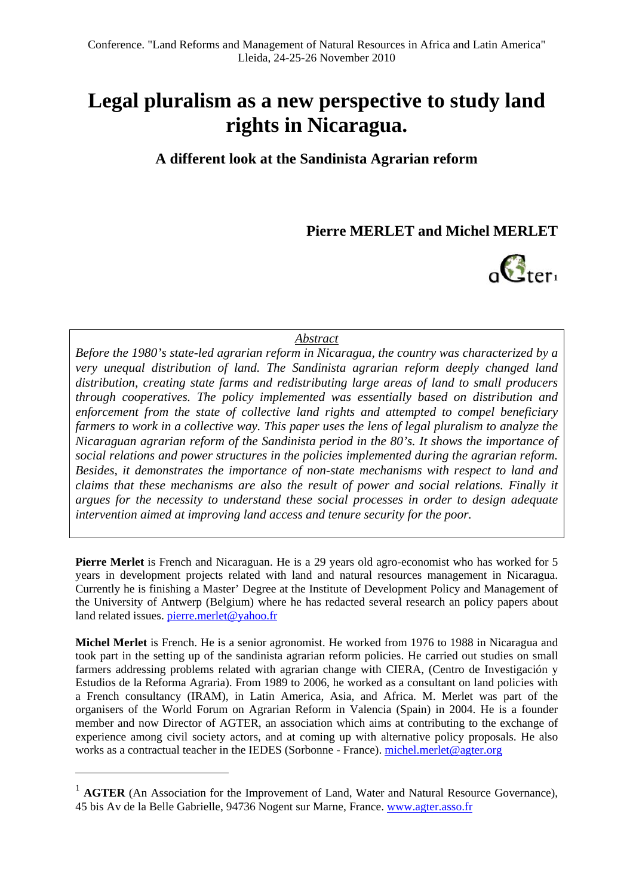## **Legal pluralism as a new perspective to study land rights in Nicaragua.**

**A different look at the Sandinista Agrarian reform** 

**Pierre MERLET and Michel MERLET** 



#### *Abstract*

*Before the 1980's state-led agrarian reform in Nicaragua, the country was characterized by a very unequal distribution of land. The Sandinista agrarian reform deeply changed land distribution, creating state farms and redistributing large areas of land to small producers through cooperatives. The policy implemented was essentially based on distribution and enforcement from the state of collective land rights and attempted to compel beneficiary farmers to work in a collective way. This paper uses the lens of legal pluralism to analyze the Nicaraguan agrarian reform of the Sandinista period in the 80's. It shows the importance of social relations and power structures in the policies implemented during the agrarian reform. Besides, it demonstrates the importance of non-state mechanisms with respect to land and claims that these mechanisms are also the result of power and social relations. Finally it argues for the necessity to understand these social processes in order to design adequate intervention aimed at improving land access and tenure security for the poor.* 

**Pierre Merlet** is French and Nicaraguan. He is a 29 years old agro-economist who has worked for 5 years in development projects related with land and natural resources management in Nicaragua. Currently he is finishing a Master' Degree at the Institute of Development Policy and Management of the University of Antwerp (Belgium) where he has redacted several research an policy papers about land related issues. pierre.merlet@yahoo.fr

**Michel Merlet** is French. He is a senior agronomist. He worked from 1976 to 1988 in Nicaragua and took part in the setting up of the sandinista agrarian reform policies. He carried out studies on small farmers addressing problems related with agrarian change with CIERA, (Centro de Investigación y Estudios de la Reforma Agraria). From 1989 to 2006, he worked as a consultant on land policies with a French consultancy (IRAM), in Latin America, Asia, and Africa. M. Merlet was part of the organisers of the World Forum on Agrarian Reform in Valencia (Spain) in 2004. He is a founder member and now Director of AGTER, an association which aims at contributing to the exchange of experience among civil society actors, and at coming up with alternative policy proposals. He also works as a contractual teacher in the IEDES (Sorbonne - France). michel.merlet@agter.org

<sup>&</sup>lt;sup>1</sup> **AGTER** (An Association for the Improvement of Land, Water and Natural Resource Governance), 45 bis Av de la Belle Gabrielle, 94736 Nogent sur Marne, France. www.agter.asso.fr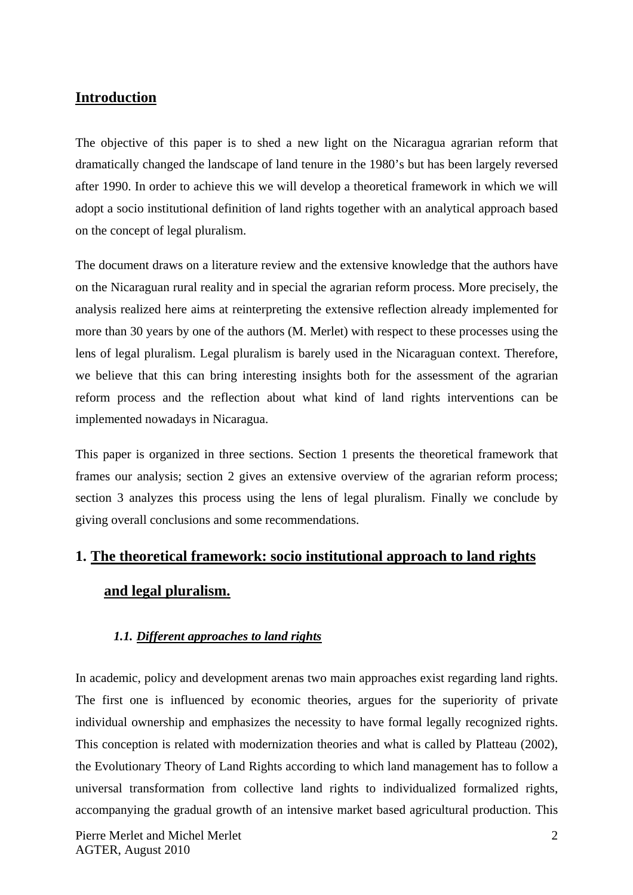## **Introduction**

The objective of this paper is to shed a new light on the Nicaragua agrarian reform that dramatically changed the landscape of land tenure in the 1980's but has been largely reversed after 1990. In order to achieve this we will develop a theoretical framework in which we will adopt a socio institutional definition of land rights together with an analytical approach based on the concept of legal pluralism.

The document draws on a literature review and the extensive knowledge that the authors have on the Nicaraguan rural reality and in special the agrarian reform process. More precisely, the analysis realized here aims at reinterpreting the extensive reflection already implemented for more than 30 years by one of the authors (M. Merlet) with respect to these processes using the lens of legal pluralism. Legal pluralism is barely used in the Nicaraguan context. Therefore, we believe that this can bring interesting insights both for the assessment of the agrarian reform process and the reflection about what kind of land rights interventions can be implemented nowadays in Nicaragua.

This paper is organized in three sections. Section 1 presents the theoretical framework that frames our analysis; section 2 gives an extensive overview of the agrarian reform process; section 3 analyzes this process using the lens of legal pluralism. Finally we conclude by giving overall conclusions and some recommendations.

# **1. The theoretical framework: socio institutional approach to land rights and legal pluralism.**

## *1.1. Different approaches to land rights*

In academic, policy and development arenas two main approaches exist regarding land rights. The first one is influenced by economic theories, argues for the superiority of private individual ownership and emphasizes the necessity to have formal legally recognized rights. This conception is related with modernization theories and what is called by Platteau (2002), the Evolutionary Theory of Land Rights according to which land management has to follow a universal transformation from collective land rights to individualized formalized rights, accompanying the gradual growth of an intensive market based agricultural production. This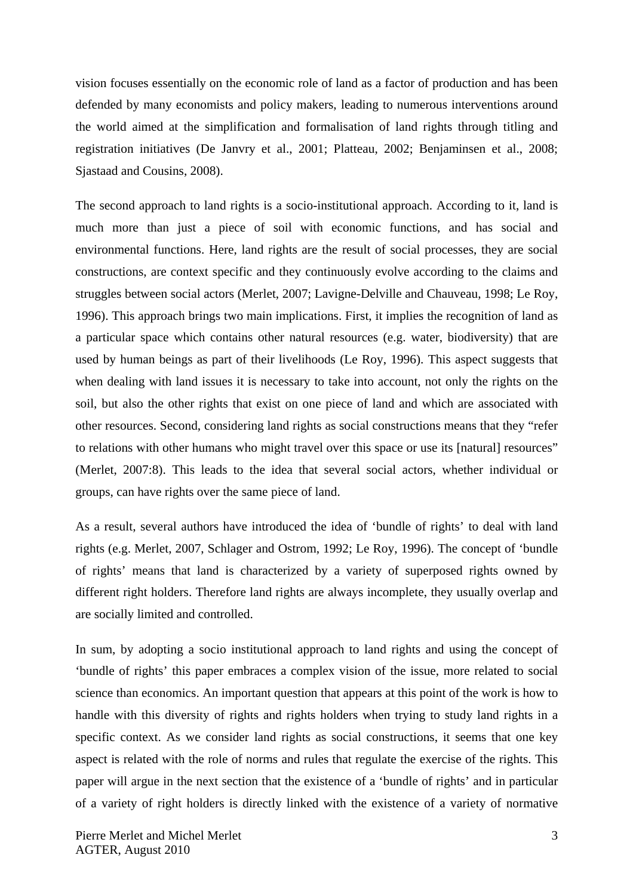vision focuses essentially on the economic role of land as a factor of production and has been defended by many economists and policy makers, leading to numerous interventions around the world aimed at the simplification and formalisation of land rights through titling and registration initiatives (De Janvry et al., 2001; Platteau, 2002; Benjaminsen et al., 2008; Sjastaad and Cousins, 2008).

The second approach to land rights is a socio-institutional approach. According to it, land is much more than just a piece of soil with economic functions, and has social and environmental functions. Here, land rights are the result of social processes, they are social constructions, are context specific and they continuously evolve according to the claims and struggles between social actors (Merlet, 2007; Lavigne-Delville and Chauveau, 1998; Le Roy, 1996). This approach brings two main implications. First, it implies the recognition of land as a particular space which contains other natural resources (e.g. water, biodiversity) that are used by human beings as part of their livelihoods (Le Roy, 1996). This aspect suggests that when dealing with land issues it is necessary to take into account, not only the rights on the soil, but also the other rights that exist on one piece of land and which are associated with other resources. Second, considering land rights as social constructions means that they "refer to relations with other humans who might travel over this space or use its [natural] resources" (Merlet, 2007:8). This leads to the idea that several social actors, whether individual or groups, can have rights over the same piece of land.

As a result, several authors have introduced the idea of 'bundle of rights' to deal with land rights (e.g. Merlet, 2007, Schlager and Ostrom, 1992; Le Roy, 1996). The concept of 'bundle of rights' means that land is characterized by a variety of superposed rights owned by different right holders. Therefore land rights are always incomplete, they usually overlap and are socially limited and controlled.

In sum, by adopting a socio institutional approach to land rights and using the concept of 'bundle of rights' this paper embraces a complex vision of the issue, more related to social science than economics. An important question that appears at this point of the work is how to handle with this diversity of rights and rights holders when trying to study land rights in a specific context. As we consider land rights as social constructions, it seems that one key aspect is related with the role of norms and rules that regulate the exercise of the rights. This paper will argue in the next section that the existence of a 'bundle of rights' and in particular of a variety of right holders is directly linked with the existence of a variety of normative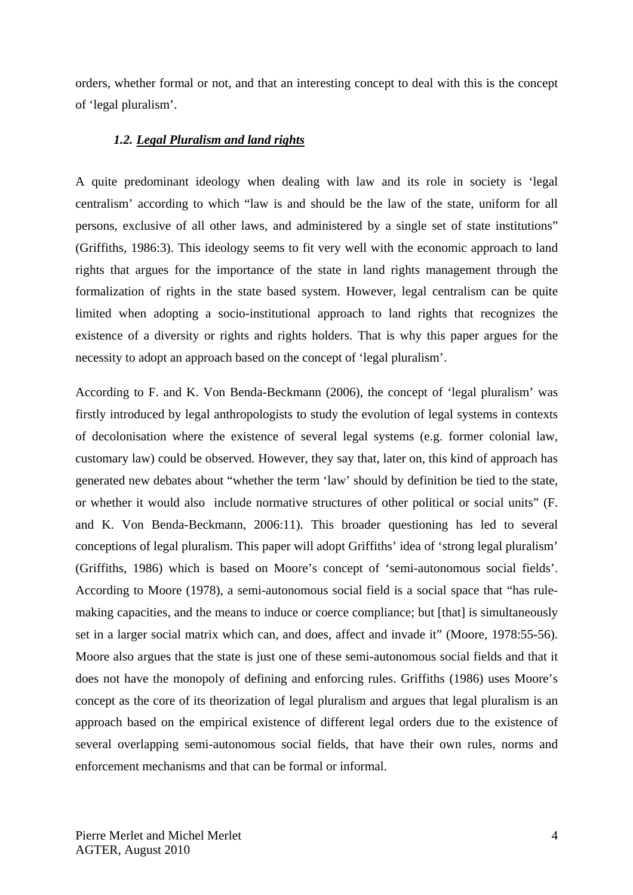orders, whether formal or not, and that an interesting concept to deal with this is the concept of 'legal pluralism'.

#### *1.2. Legal Pluralism and land rights*

A quite predominant ideology when dealing with law and its role in society is 'legal centralism' according to which "law is and should be the law of the state, uniform for all persons, exclusive of all other laws, and administered by a single set of state institutions" (Griffiths, 1986:3). This ideology seems to fit very well with the economic approach to land rights that argues for the importance of the state in land rights management through the formalization of rights in the state based system. However, legal centralism can be quite limited when adopting a socio-institutional approach to land rights that recognizes the existence of a diversity or rights and rights holders. That is why this paper argues for the necessity to adopt an approach based on the concept of 'legal pluralism'.

According to F. and K. Von Benda-Beckmann (2006), the concept of 'legal pluralism' was firstly introduced by legal anthropologists to study the evolution of legal systems in contexts of decolonisation where the existence of several legal systems (e.g. former colonial law, customary law) could be observed. However, they say that, later on, this kind of approach has generated new debates about "whether the term 'law' should by definition be tied to the state, or whether it would also include normative structures of other political or social units" (F. and K. Von Benda-Beckmann, 2006:11). This broader questioning has led to several conceptions of legal pluralism. This paper will adopt Griffiths' idea of 'strong legal pluralism' (Griffiths, 1986) which is based on Moore's concept of 'semi-autonomous social fields'. According to Moore (1978), a semi-autonomous social field is a social space that "has rulemaking capacities, and the means to induce or coerce compliance; but [that] is simultaneously set in a larger social matrix which can, and does, affect and invade it" (Moore, 1978:55-56). Moore also argues that the state is just one of these semi-autonomous social fields and that it does not have the monopoly of defining and enforcing rules. Griffiths (1986) uses Moore's concept as the core of its theorization of legal pluralism and argues that legal pluralism is an approach based on the empirical existence of different legal orders due to the existence of several overlapping semi-autonomous social fields, that have their own rules, norms and enforcement mechanisms and that can be formal or informal.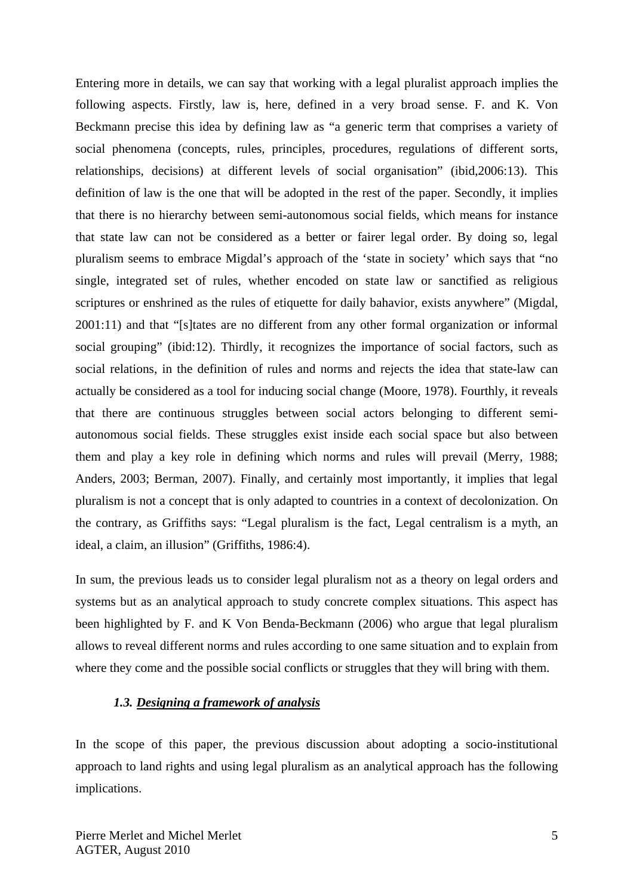Entering more in details, we can say that working with a legal pluralist approach implies the following aspects. Firstly, law is, here, defined in a very broad sense. F. and K. Von Beckmann precise this idea by defining law as "a generic term that comprises a variety of social phenomena (concepts, rules, principles, procedures, regulations of different sorts, relationships, decisions) at different levels of social organisation" (ibid,2006:13). This definition of law is the one that will be adopted in the rest of the paper. Secondly, it implies that there is no hierarchy between semi-autonomous social fields, which means for instance that state law can not be considered as a better or fairer legal order. By doing so, legal pluralism seems to embrace Migdal's approach of the 'state in society' which says that "no single, integrated set of rules, whether encoded on state law or sanctified as religious scriptures or enshrined as the rules of etiquette for daily bahavior, exists anywhere" (Migdal, 2001:11) and that "[s]tates are no different from any other formal organization or informal social grouping" (ibid:12). Thirdly, it recognizes the importance of social factors, such as social relations, in the definition of rules and norms and rejects the idea that state-law can actually be considered as a tool for inducing social change (Moore, 1978). Fourthly, it reveals that there are continuous struggles between social actors belonging to different semiautonomous social fields. These struggles exist inside each social space but also between them and play a key role in defining which norms and rules will prevail (Merry, 1988; Anders, 2003; Berman, 2007). Finally, and certainly most importantly, it implies that legal pluralism is not a concept that is only adapted to countries in a context of decolonization. On the contrary, as Griffiths says: "Legal pluralism is the fact, Legal centralism is a myth, an ideal, a claim, an illusion" (Griffiths, 1986:4).

In sum, the previous leads us to consider legal pluralism not as a theory on legal orders and systems but as an analytical approach to study concrete complex situations. This aspect has been highlighted by F. and K Von Benda-Beckmann (2006) who argue that legal pluralism allows to reveal different norms and rules according to one same situation and to explain from where they come and the possible social conflicts or struggles that they will bring with them.

## *1.3. Designing a framework of analysis*

In the scope of this paper, the previous discussion about adopting a socio-institutional approach to land rights and using legal pluralism as an analytical approach has the following implications.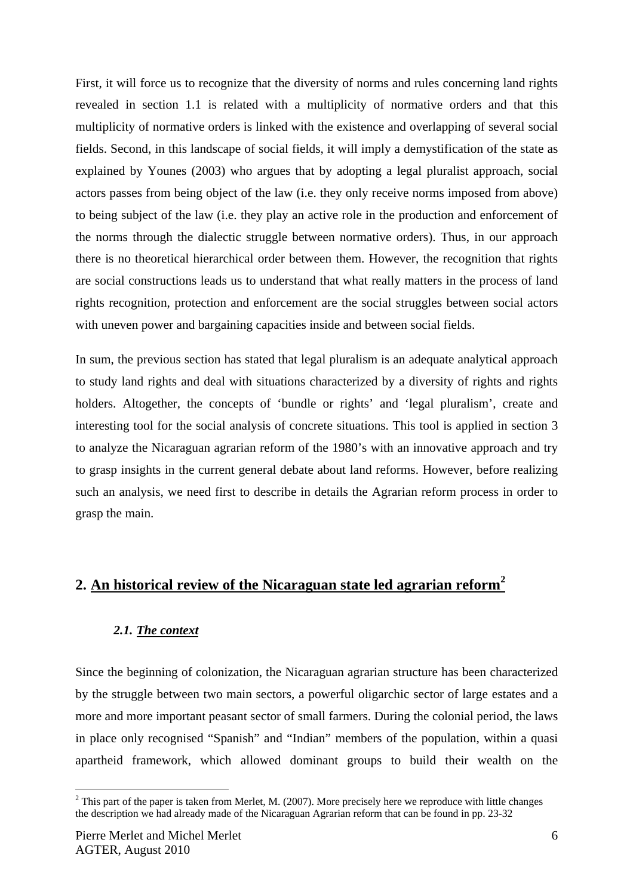First, it will force us to recognize that the diversity of norms and rules concerning land rights revealed in section 1.1 is related with a multiplicity of normative orders and that this multiplicity of normative orders is linked with the existence and overlapping of several social fields. Second, in this landscape of social fields, it will imply a demystification of the state as explained by Younes (2003) who argues that by adopting a legal pluralist approach, social actors passes from being object of the law (i.e. they only receive norms imposed from above) to being subject of the law (i.e. they play an active role in the production and enforcement of the norms through the dialectic struggle between normative orders). Thus, in our approach there is no theoretical hierarchical order between them. However, the recognition that rights are social constructions leads us to understand that what really matters in the process of land rights recognition, protection and enforcement are the social struggles between social actors with uneven power and bargaining capacities inside and between social fields.

In sum, the previous section has stated that legal pluralism is an adequate analytical approach to study land rights and deal with situations characterized by a diversity of rights and rights holders. Altogether, the concepts of 'bundle or rights' and 'legal pluralism', create and interesting tool for the social analysis of concrete situations. This tool is applied in section 3 to analyze the Nicaraguan agrarian reform of the 1980's with an innovative approach and try to grasp insights in the current general debate about land reforms. However, before realizing such an analysis, we need first to describe in details the Agrarian reform process in order to grasp the main.

## **2. An historical review of the Nicaraguan state led agrarian reform<sup>2</sup>**

#### *2.1. The context*

Since the beginning of colonization, the Nicaraguan agrarian structure has been characterized by the struggle between two main sectors, a powerful oligarchic sector of large estates and a more and more important peasant sector of small farmers. During the colonial period, the laws in place only recognised "Spanish" and "Indian" members of the population, within a quasi apartheid framework, which allowed dominant groups to build their wealth on the

 $2$  This part of the paper is taken from Merlet, M. (2007). More precisely here we reproduce with little changes the description we had already made of the Nicaraguan Agrarian reform that can be found in pp. 23-32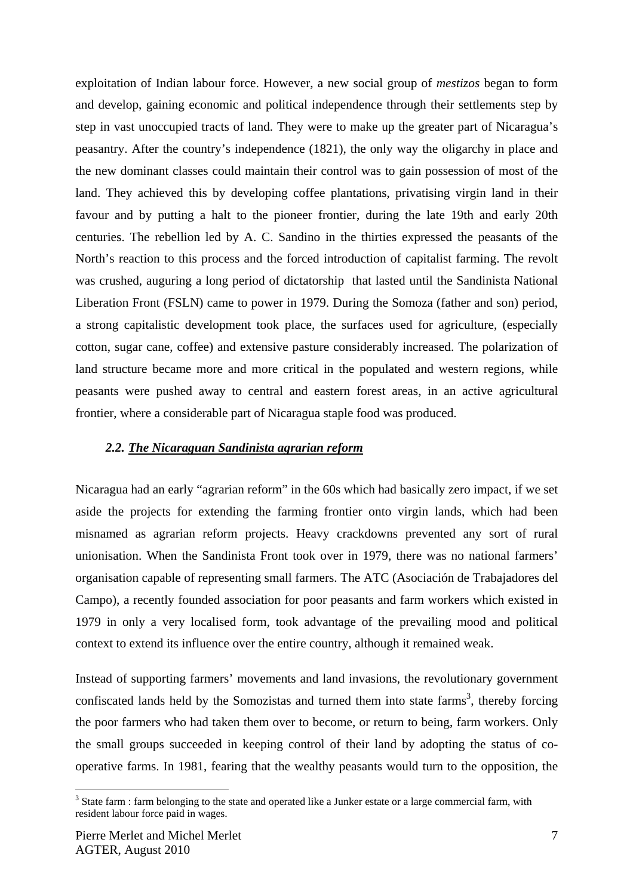exploitation of Indian labour force. However, a new social group of *mestizos* began to form and develop, gaining economic and political independence through their settlements step by step in vast unoccupied tracts of land. They were to make up the greater part of Nicaragua's peasantry. After the country's independence (1821), the only way the oligarchy in place and the new dominant classes could maintain their control was to gain possession of most of the land. They achieved this by developing coffee plantations, privatising virgin land in their favour and by putting a halt to the pioneer frontier, during the late 19th and early 20th centuries. The rebellion led by A. C. Sandino in the thirties expressed the peasants of the North's reaction to this process and the forced introduction of capitalist farming. The revolt was crushed, auguring a long period of dictatorship that lasted until the Sandinista National Liberation Front (FSLN) came to power in 1979. During the Somoza (father and son) period, a strong capitalistic development took place, the surfaces used for agriculture, (especially cotton, sugar cane, coffee) and extensive pasture considerably increased. The polarization of land structure became more and more critical in the populated and western regions, while peasants were pushed away to central and eastern forest areas, in an active agricultural frontier, where a considerable part of Nicaragua staple food was produced.

#### *2.2. The Nicaraguan Sandinista agrarian reform*

Nicaragua had an early "agrarian reform" in the 60s which had basically zero impact, if we set aside the projects for extending the farming frontier onto virgin lands, which had been misnamed as agrarian reform projects. Heavy crackdowns prevented any sort of rural unionisation. When the Sandinista Front took over in 1979, there was no national farmers' organisation capable of representing small farmers. The ATC (Asociación de Trabajadores del Campo), a recently founded association for poor peasants and farm workers which existed in 1979 in only a very localised form, took advantage of the prevailing mood and political context to extend its influence over the entire country, although it remained weak.

Instead of supporting farmers' movements and land invasions, the revolutionary government confiscated lands held by the Somozistas and turned them into state farms<sup>3</sup>, thereby forcing the poor farmers who had taken them over to become, or return to being, farm workers. Only the small groups succeeded in keeping control of their land by adopting the status of cooperative farms. In 1981, fearing that the wealthy peasants would turn to the opposition, the

 $3$  State farm : farm belonging to the state and operated like a Junker estate or a large commercial farm, with resident labour force paid in wages.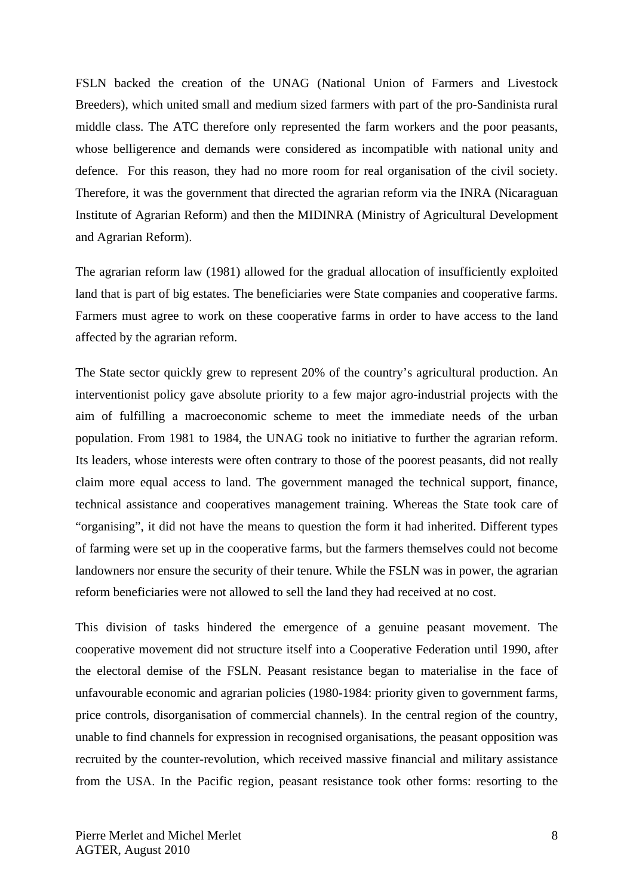FSLN backed the creation of the UNAG (National Union of Farmers and Livestock Breeders), which united small and medium sized farmers with part of the pro-Sandinista rural middle class. The ATC therefore only represented the farm workers and the poor peasants, whose belligerence and demands were considered as incompatible with national unity and defence. For this reason, they had no more room for real organisation of the civil society. Therefore, it was the government that directed the agrarian reform via the INRA (Nicaraguan Institute of Agrarian Reform) and then the MIDINRA (Ministry of Agricultural Development and Agrarian Reform).

The agrarian reform law (1981) allowed for the gradual allocation of insufficiently exploited land that is part of big estates. The beneficiaries were State companies and cooperative farms. Farmers must agree to work on these cooperative farms in order to have access to the land affected by the agrarian reform.

The State sector quickly grew to represent 20% of the country's agricultural production. An interventionist policy gave absolute priority to a few major agro-industrial projects with the aim of fulfilling a macroeconomic scheme to meet the immediate needs of the urban population. From 1981 to 1984, the UNAG took no initiative to further the agrarian reform. Its leaders, whose interests were often contrary to those of the poorest peasants, did not really claim more equal access to land. The government managed the technical support, finance, technical assistance and cooperatives management training. Whereas the State took care of "organising", it did not have the means to question the form it had inherited. Different types of farming were set up in the cooperative farms, but the farmers themselves could not become landowners nor ensure the security of their tenure. While the FSLN was in power, the agrarian reform beneficiaries were not allowed to sell the land they had received at no cost.

This division of tasks hindered the emergence of a genuine peasant movement. The cooperative movement did not structure itself into a Cooperative Federation until 1990, after the electoral demise of the FSLN. Peasant resistance began to materialise in the face of unfavourable economic and agrarian policies (1980-1984: priority given to government farms, price controls, disorganisation of commercial channels). In the central region of the country, unable to find channels for expression in recognised organisations, the peasant opposition was recruited by the counter-revolution, which received massive financial and military assistance from the USA. In the Pacific region, peasant resistance took other forms: resorting to the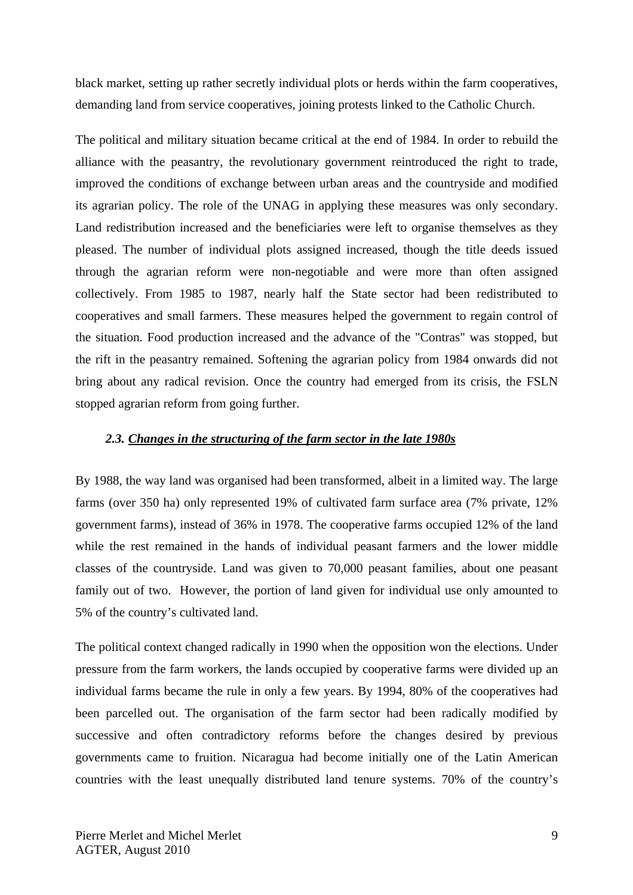black market, setting up rather secretly individual plots or herds within the farm cooperatives, demanding land from service cooperatives, joining protests linked to the Catholic Church.

The political and military situation became critical at the end of 1984. In order to rebuild the alliance with the peasantry, the revolutionary government reintroduced the right to trade, improved the conditions of exchange between urban areas and the countryside and modified its agrarian policy. The role of the UNAG in applying these measures was only secondary. Land redistribution increased and the beneficiaries were left to organise themselves as they pleased. The number of individual plots assigned increased, though the title deeds issued through the agrarian reform were non-negotiable and were more than often assigned collectively. From 1985 to 1987, nearly half the State sector had been redistributed to cooperatives and small farmers. These measures helped the government to regain control of the situation. Food production increased and the advance of the "Contras" was stopped, but the rift in the peasantry remained. Softening the agrarian policy from 1984 onwards did not bring about any radical revision. Once the country had emerged from its crisis, the FSLN stopped agrarian reform from going further.

#### *2.3. Changes in the structuring of the farm sector in the late 1980s*

By 1988, the way land was organised had been transformed, albeit in a limited way. The large farms (over 350 ha) only represented 19% of cultivated farm surface area (7% private, 12% government farms), instead of 36% in 1978. The cooperative farms occupied 12% of the land while the rest remained in the hands of individual peasant farmers and the lower middle classes of the countryside. Land was given to 70,000 peasant families, about one peasant family out of two. However, the portion of land given for individual use only amounted to 5% of the country's cultivated land.

The political context changed radically in 1990 when the opposition won the elections. Under pressure from the farm workers, the lands occupied by cooperative farms were divided up an individual farms became the rule in only a few years. By 1994, 80% of the cooperatives had been parcelled out. The organisation of the farm sector had been radically modified by successive and often contradictory reforms before the changes desired by previous governments came to fruition. Nicaragua had become initially one of the Latin American countries with the least unequally distributed land tenure systems. 70% of the country's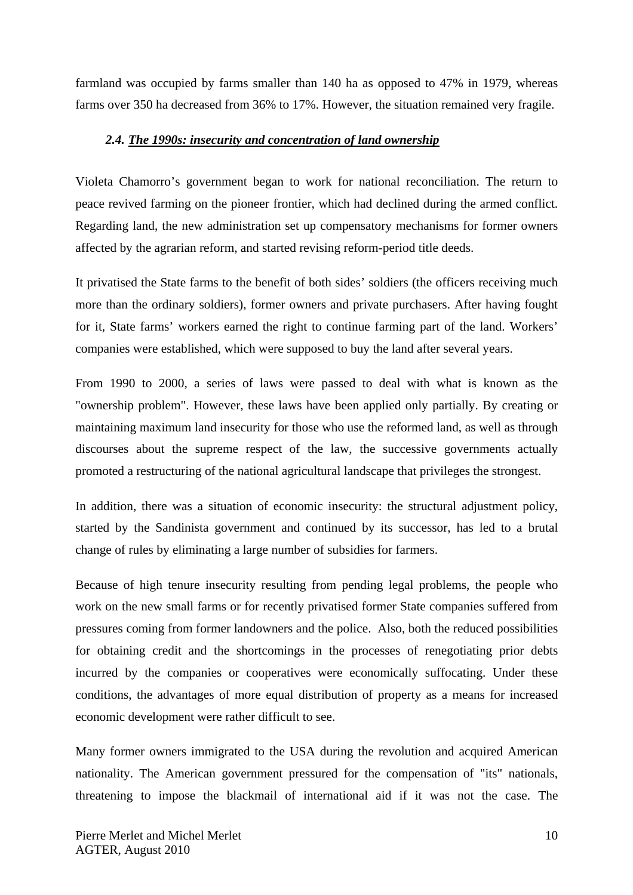farmland was occupied by farms smaller than 140 ha as opposed to 47% in 1979, whereas farms over 350 ha decreased from 36% to 17%. However, the situation remained very fragile.

#### *2.4. The 1990s: insecurity and concentration of land ownership*

Violeta Chamorro's government began to work for national reconciliation. The return to peace revived farming on the pioneer frontier, which had declined during the armed conflict. Regarding land, the new administration set up compensatory mechanisms for former owners affected by the agrarian reform, and started revising reform-period title deeds.

It privatised the State farms to the benefit of both sides' soldiers (the officers receiving much more than the ordinary soldiers), former owners and private purchasers. After having fought for it, State farms' workers earned the right to continue farming part of the land. Workers' companies were established, which were supposed to buy the land after several years.

From 1990 to 2000, a series of laws were passed to deal with what is known as the "ownership problem". However, these laws have been applied only partially. By creating or maintaining maximum land insecurity for those who use the reformed land, as well as through discourses about the supreme respect of the law, the successive governments actually promoted a restructuring of the national agricultural landscape that privileges the strongest.

In addition, there was a situation of economic insecurity: the structural adjustment policy, started by the Sandinista government and continued by its successor, has led to a brutal change of rules by eliminating a large number of subsidies for farmers.

Because of high tenure insecurity resulting from pending legal problems, the people who work on the new small farms or for recently privatised former State companies suffered from pressures coming from former landowners and the police. Also, both the reduced possibilities for obtaining credit and the shortcomings in the processes of renegotiating prior debts incurred by the companies or cooperatives were economically suffocating. Under these conditions, the advantages of more equal distribution of property as a means for increased economic development were rather difficult to see.

Many former owners immigrated to the USA during the revolution and acquired American nationality. The American government pressured for the compensation of "its" nationals, threatening to impose the blackmail of international aid if it was not the case. The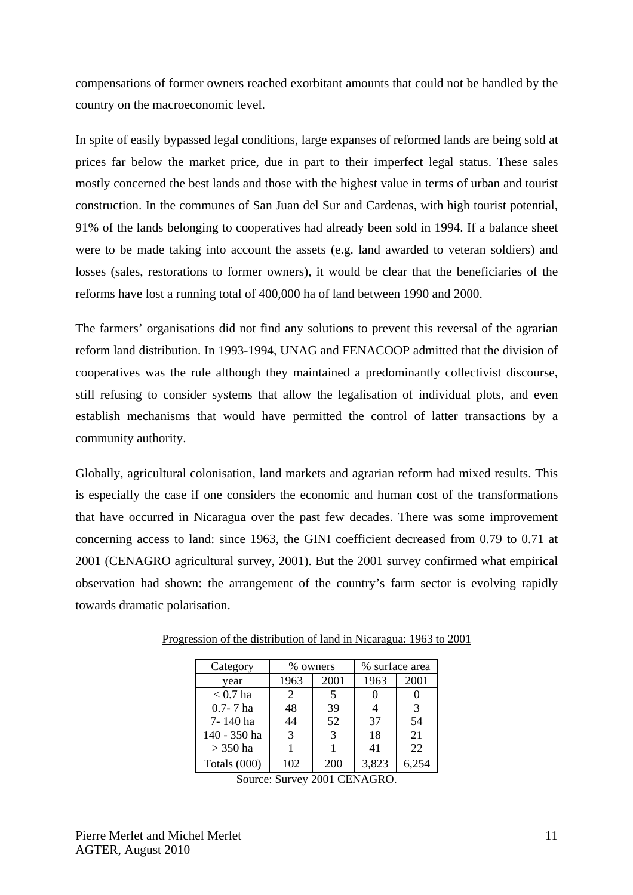compensations of former owners reached exorbitant amounts that could not be handled by the country on the macroeconomic level.

In spite of easily bypassed legal conditions, large expanses of reformed lands are being sold at prices far below the market price, due in part to their imperfect legal status. These sales mostly concerned the best lands and those with the highest value in terms of urban and tourist construction. In the communes of San Juan del Sur and Cardenas, with high tourist potential, 91% of the lands belonging to cooperatives had already been sold in 1994. If a balance sheet were to be made taking into account the assets (e.g. land awarded to veteran soldiers) and losses (sales, restorations to former owners), it would be clear that the beneficiaries of the reforms have lost a running total of 400,000 ha of land between 1990 and 2000.

The farmers' organisations did not find any solutions to prevent this reversal of the agrarian reform land distribution. In 1993-1994, UNAG and FENACOOP admitted that the division of cooperatives was the rule although they maintained a predominantly collectivist discourse, still refusing to consider systems that allow the legalisation of individual plots, and even establish mechanisms that would have permitted the control of latter transactions by a community authority.

Globally, agricultural colonisation, land markets and agrarian reform had mixed results. This is especially the case if one considers the economic and human cost of the transformations that have occurred in Nicaragua over the past few decades. There was some improvement concerning access to land: since 1963, the GINI coefficient decreased from 0.79 to 0.71 at 2001 (CENAGRO agricultural survey, 2001). But the 2001 survey confirmed what empirical observation had shown: the arrangement of the country's farm sector is evolving rapidly towards dramatic polarisation.

| Category     | % owners      |      | % surface area |       |
|--------------|---------------|------|----------------|-------|
| year         | 1963          | 2001 | 1963           | 2001  |
| $< 0.7$ ha   | 2             | 5    |                |       |
| $0.7 - 7$ ha | 48            | 39   |                | 3     |
| 7-140 ha     | 44            | 52   | 37             | 54    |
| 140 - 350 ha | $\mathcal{R}$ | 3    | 18             | 21    |
| $>$ 350 ha   |               |      | 41             | 22    |
| Totals (000) | 102           | 200  | 3,823          | 6.254 |

Progression of the distribution of land in Nicaragua: 1963 to 2001

Source: Survey 2001 CENAGRO.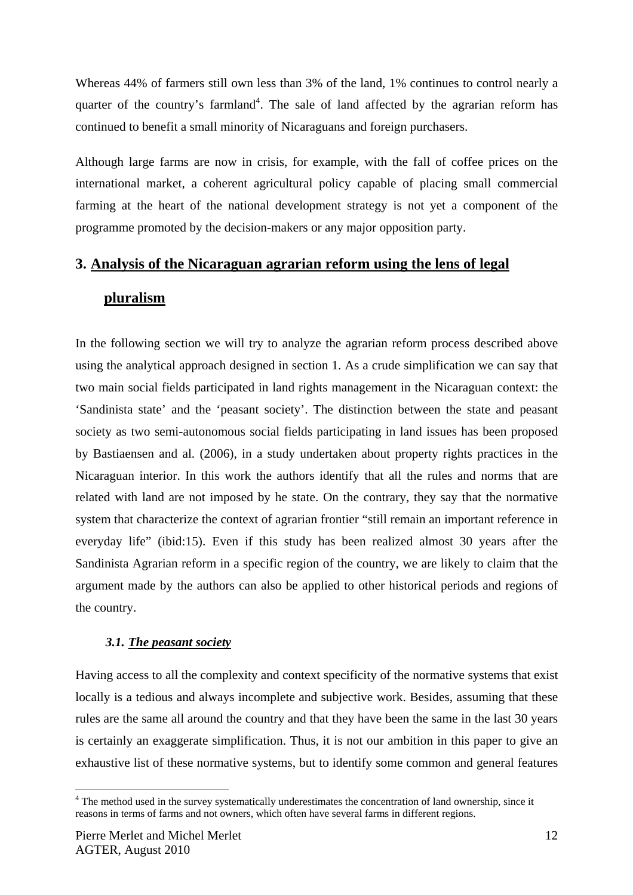Whereas 44% of farmers still own less than 3% of the land, 1% continues to control nearly a quarter of the country's farmland<sup>4</sup>. The sale of land affected by the agrarian reform has continued to benefit a small minority of Nicaraguans and foreign purchasers.

Although large farms are now in crisis, for example, with the fall of coffee prices on the international market, a coherent agricultural policy capable of placing small commercial farming at the heart of the national development strategy is not yet a component of the programme promoted by the decision-makers or any major opposition party.

## **3. Analysis of the Nicaraguan agrarian reform using the lens of legal**

## **pluralism**

In the following section we will try to analyze the agrarian reform process described above using the analytical approach designed in section 1. As a crude simplification we can say that two main social fields participated in land rights management in the Nicaraguan context: the 'Sandinista state' and the 'peasant society'. The distinction between the state and peasant society as two semi-autonomous social fields participating in land issues has been proposed by Bastiaensen and al. (2006), in a study undertaken about property rights practices in the Nicaraguan interior. In this work the authors identify that all the rules and norms that are related with land are not imposed by he state. On the contrary, they say that the normative system that characterize the context of agrarian frontier "still remain an important reference in everyday life" (ibid:15). Even if this study has been realized almost 30 years after the Sandinista Agrarian reform in a specific region of the country, we are likely to claim that the argument made by the authors can also be applied to other historical periods and regions of the country.

## *3.1. The peasant society*

Having access to all the complexity and context specificity of the normative systems that exist locally is a tedious and always incomplete and subjective work. Besides, assuming that these rules are the same all around the country and that they have been the same in the last 30 years is certainly an exaggerate simplification. Thus, it is not our ambition in this paper to give an exhaustive list of these normative systems, but to identify some common and general features

<sup>&</sup>lt;sup>4</sup> The method used in the survey systematically underestimates the concentration of land ownership, since it reasons in terms of farms and not owners, which often have several farms in different regions.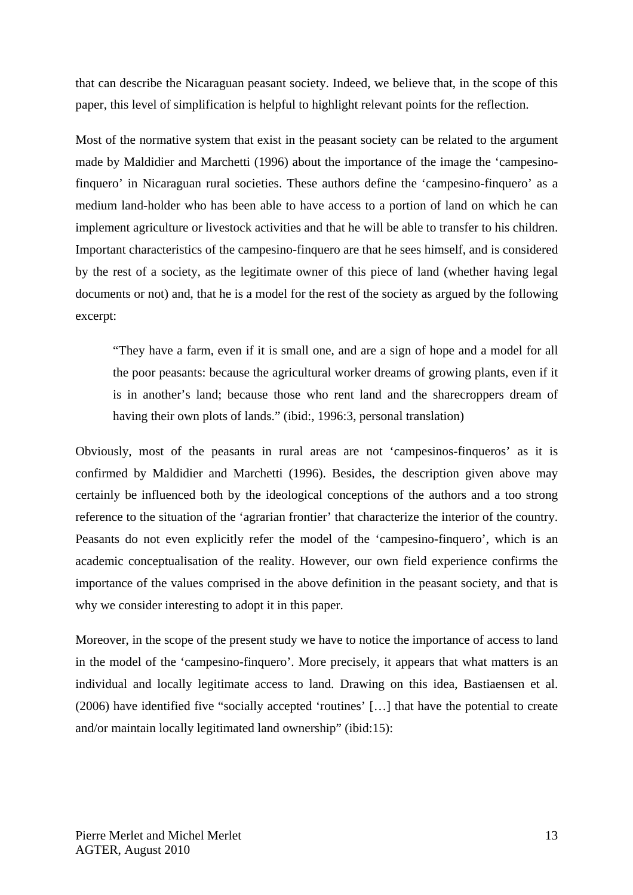that can describe the Nicaraguan peasant society. Indeed, we believe that, in the scope of this paper, this level of simplification is helpful to highlight relevant points for the reflection.

Most of the normative system that exist in the peasant society can be related to the argument made by Maldidier and Marchetti (1996) about the importance of the image the 'campesinofinquero' in Nicaraguan rural societies. These authors define the 'campesino-finquero' as a medium land-holder who has been able to have access to a portion of land on which he can implement agriculture or livestock activities and that he will be able to transfer to his children. Important characteristics of the campesino-finquero are that he sees himself, and is considered by the rest of a society, as the legitimate owner of this piece of land (whether having legal documents or not) and, that he is a model for the rest of the society as argued by the following excerpt:

"They have a farm, even if it is small one, and are a sign of hope and a model for all the poor peasants: because the agricultural worker dreams of growing plants, even if it is in another's land; because those who rent land and the sharecroppers dream of having their own plots of lands." (ibid:, 1996:3, personal translation)

Obviously, most of the peasants in rural areas are not 'campesinos-finqueros' as it is confirmed by Maldidier and Marchetti (1996). Besides, the description given above may certainly be influenced both by the ideological conceptions of the authors and a too strong reference to the situation of the 'agrarian frontier' that characterize the interior of the country. Peasants do not even explicitly refer the model of the 'campesino-finquero', which is an academic conceptualisation of the reality. However, our own field experience confirms the importance of the values comprised in the above definition in the peasant society, and that is why we consider interesting to adopt it in this paper.

Moreover, in the scope of the present study we have to notice the importance of access to land in the model of the 'campesino-finquero'. More precisely, it appears that what matters is an individual and locally legitimate access to land. Drawing on this idea, Bastiaensen et al. (2006) have identified five "socially accepted 'routines' […] that have the potential to create and/or maintain locally legitimated land ownership" (ibid:15):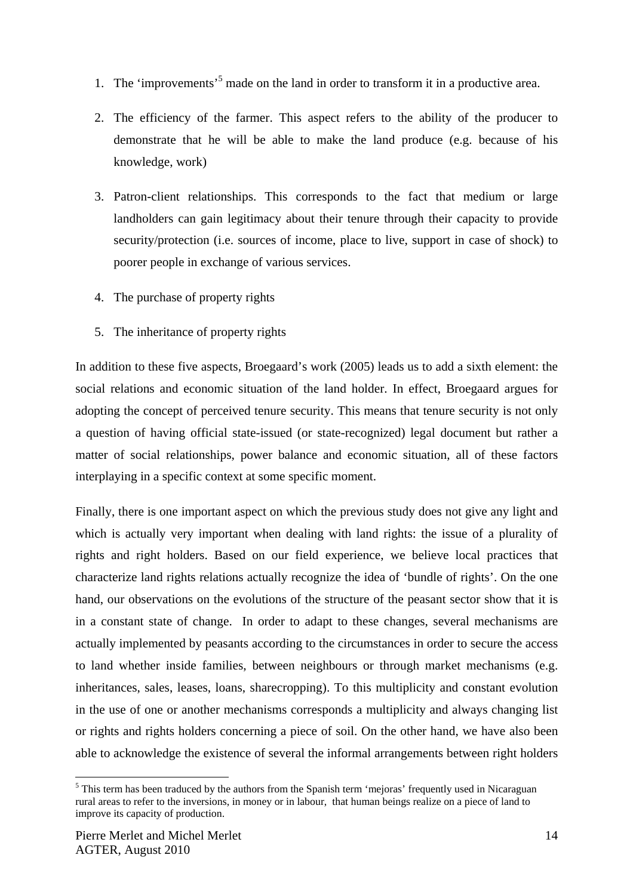- 1. The 'improvements'<sup>5</sup> made on the land in order to transform it in a productive area.
- 2. The efficiency of the farmer. This aspect refers to the ability of the producer to demonstrate that he will be able to make the land produce (e.g. because of his knowledge, work)
- 3. Patron-client relationships. This corresponds to the fact that medium or large landholders can gain legitimacy about their tenure through their capacity to provide security/protection (i.e. sources of income, place to live, support in case of shock) to poorer people in exchange of various services.
- 4. The purchase of property rights
- 5. The inheritance of property rights

In addition to these five aspects, Broegaard's work (2005) leads us to add a sixth element: the social relations and economic situation of the land holder. In effect, Broegaard argues for adopting the concept of perceived tenure security. This means that tenure security is not only a question of having official state-issued (or state-recognized) legal document but rather a matter of social relationships, power balance and economic situation, all of these factors interplaying in a specific context at some specific moment.

Finally, there is one important aspect on which the previous study does not give any light and which is actually very important when dealing with land rights: the issue of a plurality of rights and right holders. Based on our field experience, we believe local practices that characterize land rights relations actually recognize the idea of 'bundle of rights'. On the one hand, our observations on the evolutions of the structure of the peasant sector show that it is in a constant state of change. In order to adapt to these changes, several mechanisms are actually implemented by peasants according to the circumstances in order to secure the access to land whether inside families, between neighbours or through market mechanisms (e.g. inheritances, sales, leases, loans, sharecropping). To this multiplicity and constant evolution in the use of one or another mechanisms corresponds a multiplicity and always changing list or rights and rights holders concerning a piece of soil. On the other hand, we have also been able to acknowledge the existence of several the informal arrangements between right holders

<sup>&</sup>lt;sup>5</sup> This term has been traduced by the authors from the Spanish term 'mejoras' frequently used in Nicaraguan rural areas to refer to the inversions, in money or in labour, that human beings realize on a piece of land to improve its capacity of production.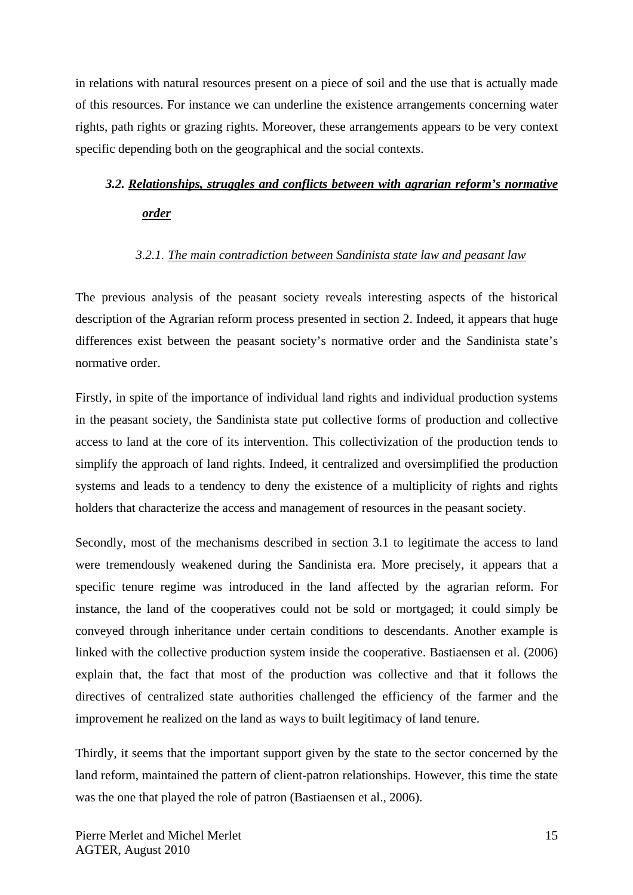in relations with natural resources present on a piece of soil and the use that is actually made of this resources. For instance we can underline the existence arrangements concerning water rights, path rights or grazing rights. Moreover, these arrangements appears to be very context specific depending both on the geographical and the social contexts.

## *3.2. Relationships, struggles and conflicts between with agrarian reform's normative order*

#### *3.2.1. The main contradiction between Sandinista state law and peasant law*

The previous analysis of the peasant society reveals interesting aspects of the historical description of the Agrarian reform process presented in section 2. Indeed, it appears that huge differences exist between the peasant society's normative order and the Sandinista state's normative order.

Firstly, in spite of the importance of individual land rights and individual production systems in the peasant society, the Sandinista state put collective forms of production and collective access to land at the core of its intervention. This collectivization of the production tends to simplify the approach of land rights. Indeed, it centralized and oversimplified the production systems and leads to a tendency to deny the existence of a multiplicity of rights and rights holders that characterize the access and management of resources in the peasant society.

Secondly, most of the mechanisms described in section 3.1 to legitimate the access to land were tremendously weakened during the Sandinista era. More precisely, it appears that a specific tenure regime was introduced in the land affected by the agrarian reform. For instance, the land of the cooperatives could not be sold or mortgaged; it could simply be conveyed through inheritance under certain conditions to descendants. Another example is linked with the collective production system inside the cooperative. Bastiaensen et al. (2006) explain that, the fact that most of the production was collective and that it follows the directives of centralized state authorities challenged the efficiency of the farmer and the improvement he realized on the land as ways to built legitimacy of land tenure.

Thirdly, it seems that the important support given by the state to the sector concerned by the land reform, maintained the pattern of client-patron relationships. However, this time the state was the one that played the role of patron (Bastiaensen et al., 2006).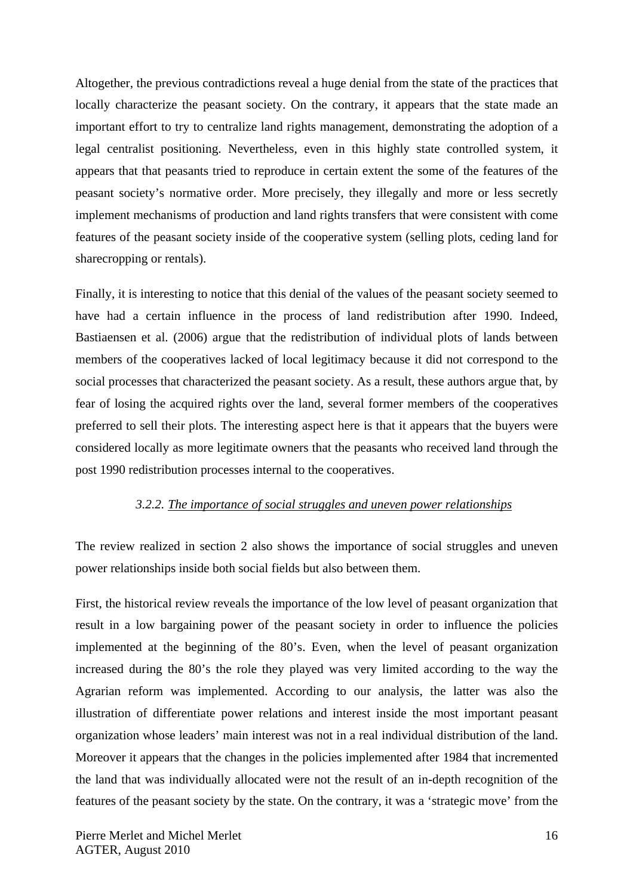Altogether, the previous contradictions reveal a huge denial from the state of the practices that locally characterize the peasant society. On the contrary, it appears that the state made an important effort to try to centralize land rights management, demonstrating the adoption of a legal centralist positioning. Nevertheless, even in this highly state controlled system, it appears that that peasants tried to reproduce in certain extent the some of the features of the peasant society's normative order. More precisely, they illegally and more or less secretly implement mechanisms of production and land rights transfers that were consistent with come features of the peasant society inside of the cooperative system (selling plots, ceding land for sharecropping or rentals).

Finally, it is interesting to notice that this denial of the values of the peasant society seemed to have had a certain influence in the process of land redistribution after 1990. Indeed, Bastiaensen et al. (2006) argue that the redistribution of individual plots of lands between members of the cooperatives lacked of local legitimacy because it did not correspond to the social processes that characterized the peasant society. As a result, these authors argue that, by fear of losing the acquired rights over the land, several former members of the cooperatives preferred to sell their plots. The interesting aspect here is that it appears that the buyers were considered locally as more legitimate owners that the peasants who received land through the post 1990 redistribution processes internal to the cooperatives.

#### *3.2.2. The importance of social struggles and uneven power relationships*

The review realized in section 2 also shows the importance of social struggles and uneven power relationships inside both social fields but also between them.

First, the historical review reveals the importance of the low level of peasant organization that result in a low bargaining power of the peasant society in order to influence the policies implemented at the beginning of the 80's. Even, when the level of peasant organization increased during the 80's the role they played was very limited according to the way the Agrarian reform was implemented. According to our analysis, the latter was also the illustration of differentiate power relations and interest inside the most important peasant organization whose leaders' main interest was not in a real individual distribution of the land. Moreover it appears that the changes in the policies implemented after 1984 that incremented the land that was individually allocated were not the result of an in-depth recognition of the features of the peasant society by the state. On the contrary, it was a 'strategic move' from the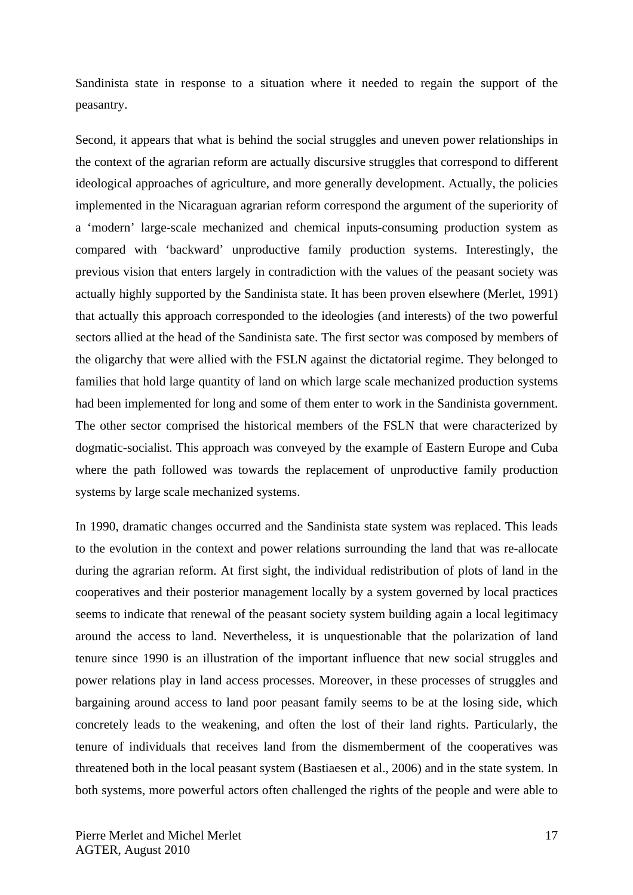Sandinista state in response to a situation where it needed to regain the support of the peasantry.

Second, it appears that what is behind the social struggles and uneven power relationships in the context of the agrarian reform are actually discursive struggles that correspond to different ideological approaches of agriculture, and more generally development. Actually, the policies implemented in the Nicaraguan agrarian reform correspond the argument of the superiority of a 'modern' large-scale mechanized and chemical inputs-consuming production system as compared with 'backward' unproductive family production systems. Interestingly, the previous vision that enters largely in contradiction with the values of the peasant society was actually highly supported by the Sandinista state. It has been proven elsewhere (Merlet, 1991) that actually this approach corresponded to the ideologies (and interests) of the two powerful sectors allied at the head of the Sandinista sate. The first sector was composed by members of the oligarchy that were allied with the FSLN against the dictatorial regime. They belonged to families that hold large quantity of land on which large scale mechanized production systems had been implemented for long and some of them enter to work in the Sandinista government. The other sector comprised the historical members of the FSLN that were characterized by dogmatic-socialist. This approach was conveyed by the example of Eastern Europe and Cuba where the path followed was towards the replacement of unproductive family production systems by large scale mechanized systems.

In 1990, dramatic changes occurred and the Sandinista state system was replaced. This leads to the evolution in the context and power relations surrounding the land that was re-allocate during the agrarian reform. At first sight, the individual redistribution of plots of land in the cooperatives and their posterior management locally by a system governed by local practices seems to indicate that renewal of the peasant society system building again a local legitimacy around the access to land. Nevertheless, it is unquestionable that the polarization of land tenure since 1990 is an illustration of the important influence that new social struggles and power relations play in land access processes. Moreover, in these processes of struggles and bargaining around access to land poor peasant family seems to be at the losing side, which concretely leads to the weakening, and often the lost of their land rights. Particularly, the tenure of individuals that receives land from the dismemberment of the cooperatives was threatened both in the local peasant system (Bastiaesen et al., 2006) and in the state system. In both systems, more powerful actors often challenged the rights of the people and were able to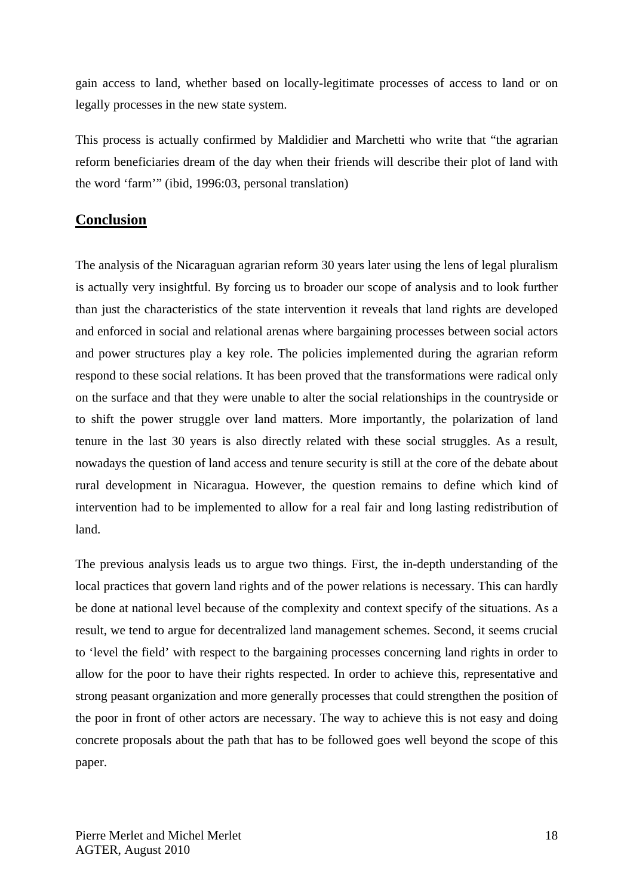gain access to land, whether based on locally-legitimate processes of access to land or on legally processes in the new state system.

This process is actually confirmed by Maldidier and Marchetti who write that "the agrarian reform beneficiaries dream of the day when their friends will describe their plot of land with the word 'farm'" (ibid, 1996:03, personal translation)

## **Conclusion**

The analysis of the Nicaraguan agrarian reform 30 years later using the lens of legal pluralism is actually very insightful. By forcing us to broader our scope of analysis and to look further than just the characteristics of the state intervention it reveals that land rights are developed and enforced in social and relational arenas where bargaining processes between social actors and power structures play a key role. The policies implemented during the agrarian reform respond to these social relations. It has been proved that the transformations were radical only on the surface and that they were unable to alter the social relationships in the countryside or to shift the power struggle over land matters. More importantly, the polarization of land tenure in the last 30 years is also directly related with these social struggles. As a result, nowadays the question of land access and tenure security is still at the core of the debate about rural development in Nicaragua. However, the question remains to define which kind of intervention had to be implemented to allow for a real fair and long lasting redistribution of land.

The previous analysis leads us to argue two things. First, the in-depth understanding of the local practices that govern land rights and of the power relations is necessary. This can hardly be done at national level because of the complexity and context specify of the situations. As a result, we tend to argue for decentralized land management schemes. Second, it seems crucial to 'level the field' with respect to the bargaining processes concerning land rights in order to allow for the poor to have their rights respected. In order to achieve this, representative and strong peasant organization and more generally processes that could strengthen the position of the poor in front of other actors are necessary. The way to achieve this is not easy and doing concrete proposals about the path that has to be followed goes well beyond the scope of this paper.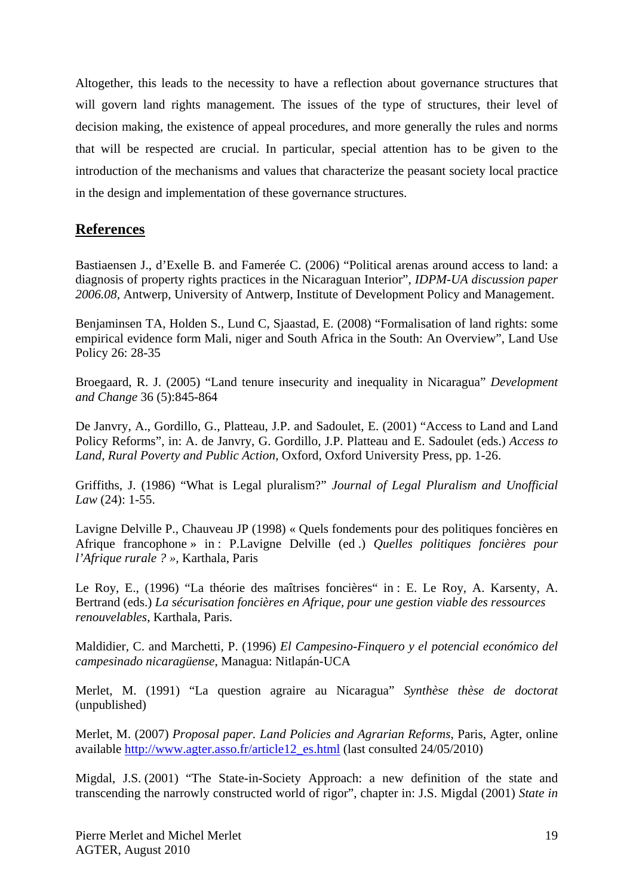Altogether, this leads to the necessity to have a reflection about governance structures that will govern land rights management. The issues of the type of structures, their level of decision making, the existence of appeal procedures, and more generally the rules and norms that will be respected are crucial. In particular, special attention has to be given to the introduction of the mechanisms and values that characterize the peasant society local practice in the design and implementation of these governance structures.

## **References**

Bastiaensen J., d'Exelle B. and Famerée C. (2006) "Political arenas around access to land: a diagnosis of property rights practices in the Nicaraguan Interior", *IDPM-UA discussion paper 2006.08,* Antwerp, University of Antwerp, Institute of Development Policy and Management.

Benjaminsen TA, Holden S., Lund C, Sjaastad, E. (2008) "Formalisation of land rights: some empirical evidence form Mali, niger and South Africa in the South: An Overview", Land Use Policy 26: 28-35

Broegaard, R. J. (2005) "Land tenure insecurity and inequality in Nicaragua" *Development and Change* 36 (5):845-864

De Janvry, A., Gordillo, G., Platteau, J.P. and Sadoulet, E. (2001) "Access to Land and Land Policy Reforms", in: A. de Janvry, G. Gordillo, J.P. Platteau and E. Sadoulet (eds.) *Access to Land, Rural Poverty and Public Action,* Oxford, Oxford University Press, pp. 1-26.

Griffiths, J. (1986) "What is Legal pluralism?" *Journal of Legal Pluralism and Unofficial Law* (24): 1-55.

Lavigne Delville P., Chauveau JP (1998) « Quels fondements pour des politiques foncières en Afrique francophone » in : P.Lavigne Delville (ed .) *Quelles politiques foncières pour l'Afrique rurale ? »,* Karthala, Paris

Le Roy, E., (1996) "La théorie des maîtrises foncières" in : E. Le Roy, A. Karsenty, A. Bertrand (eds.) *La sécurisation foncières en Afrique, pour une gestion viable des ressources renouvelables*, Karthala, Paris.

Maldidier, C. and Marchetti, P. (1996) *El Campesino-Finquero y el potencial económico del campesinado nicaragüense*, Managua: Nitlapán-UCA

Merlet, M. (1991) "La question agraire au Nicaragua" *Synthèse thèse de doctorat*  (unpublished)

Merlet, M. (2007) *Proposal paper. Land Policies and Agrarian Reforms*, Paris, Agter, online available http://www.agter.asso.fr/article12\_es.html (last consulted 24/05/2010)

Migdal, J.S. (2001) "The State-in-Society Approach: a new definition of the state and transcending the narrowly constructed world of rigor", chapter in: J.S. Migdal (2001) *State in*